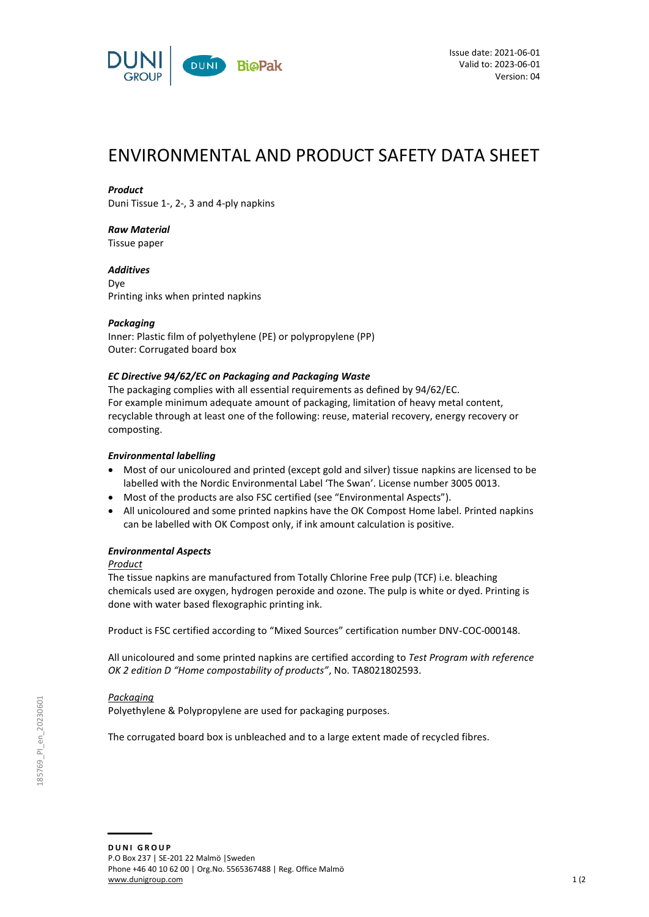

# ENVIRONMENTAL AND PRODUCT SAFETY DATA SHEET

## *Product*

Duni Tissue 1-, 2-, 3 and 4-ply napkins

## *Raw Material*

Tissue paper

*Additives* Dye Printing inks when printed napkins

## *Packaging*

Inner: Plastic film of polyethylene (PE) or polypropylene (PP) Outer: Corrugated board box

## *EC Directive 94/62/EC on Packaging and Packaging Waste*

The packaging complies with all essential requirements as defined by 94/62/EC. For example minimum adequate amount of packaging, limitation of heavy metal content, recyclable through at least one of the following: reuse, material recovery, energy recovery or composting.

## *Environmental labelling*

- Most of our unicoloured and printed (except gold and silver) tissue napkins are licensed to be labelled with the Nordic Environmental Label 'The Swan'. License number 3005 0013.
- Most of the products are also FSC certified (see "Environmental Aspects").
- All unicoloured and some printed napkins have the OK Compost Home label. Printed napkins can be labelled with OK Compost only, if ink amount calculation is positive.

## *Environmental Aspects*

## *Product*

The tissue napkins are manufactured from Totally Chlorine Free pulp (TCF) i.e. bleaching chemicals used are oxygen, hydrogen peroxide and ozone. The pulp is white or dyed. Printing is done with water based flexographic printing ink.

Product is FSC certified according to "Mixed Sources" certification number DNV-COC-000148.

All unicoloured and some printed napkins are certified according to *Test Program with reference OK 2 edition D "Home compostability of products"*, No. TA8021802593.

## *Packaging*

Polyethylene & Polypropylene are used for packaging purposes.

The corrugated board box is unbleached and to a large extent made of recycled fibres.